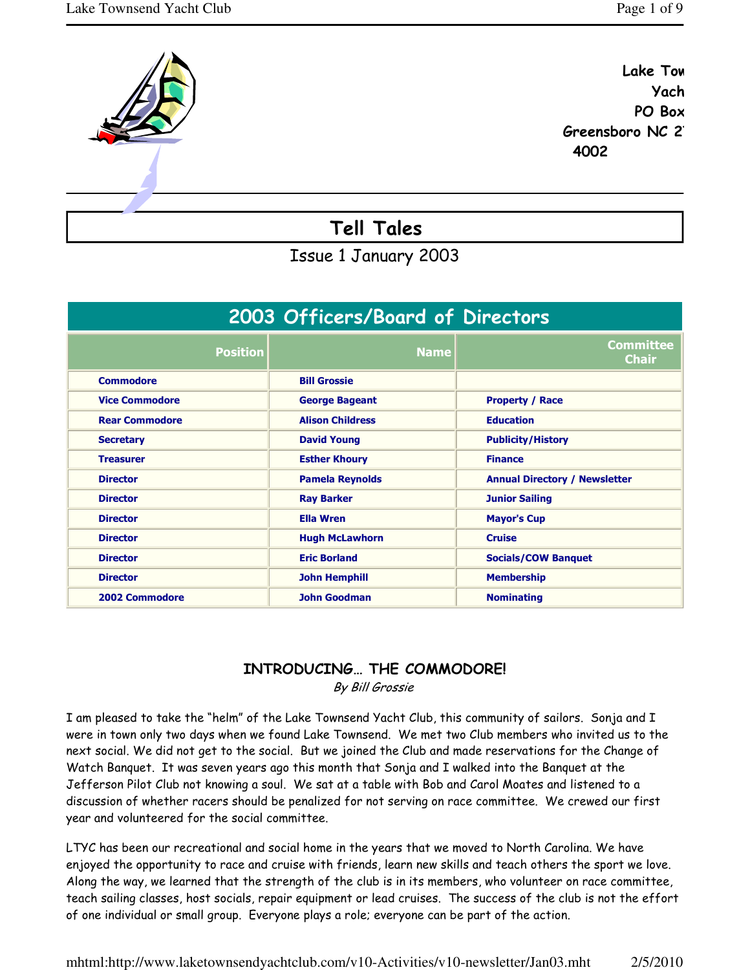

Yach



Issue 1 January 2003

| 2003 Officers/Board of Directors |                         |                                      |  |  |  |  |  |  |  |
|----------------------------------|-------------------------|--------------------------------------|--|--|--|--|--|--|--|
| <b>Position</b>                  | <b>Name</b>             | <b>Committee</b><br><b>Chair</b>     |  |  |  |  |  |  |  |
| <b>Commodore</b>                 | <b>Bill Grossie</b>     |                                      |  |  |  |  |  |  |  |
| <b>Vice Commodore</b>            | <b>George Bageant</b>   | <b>Property / Race</b>               |  |  |  |  |  |  |  |
| <b>Rear Commodore</b>            | <b>Alison Childress</b> | <b>Education</b>                     |  |  |  |  |  |  |  |
| <b>Secretary</b>                 | <b>David Young</b>      | <b>Publicity/History</b>             |  |  |  |  |  |  |  |
| <b>Treasurer</b>                 | <b>Esther Khoury</b>    | <b>Finance</b>                       |  |  |  |  |  |  |  |
| <b>Director</b>                  | <b>Pamela Reynolds</b>  | <b>Annual Directory / Newsletter</b> |  |  |  |  |  |  |  |
| <b>Director</b>                  | <b>Ray Barker</b>       | <b>Junior Sailing</b>                |  |  |  |  |  |  |  |
| <b>Director</b>                  | <b>Ella Wren</b>        | <b>Mayor's Cup</b>                   |  |  |  |  |  |  |  |
| <b>Director</b>                  | <b>Hugh McLawhorn</b>   | <b>Cruise</b>                        |  |  |  |  |  |  |  |
| <b>Director</b>                  | <b>Eric Borland</b>     | <b>Socials/COW Banquet</b>           |  |  |  |  |  |  |  |
| <b>Director</b>                  | <b>John Hemphill</b>    | <b>Membership</b>                    |  |  |  |  |  |  |  |
| 2002 Commodore                   | <b>John Goodman</b>     | <b>Nominating</b>                    |  |  |  |  |  |  |  |

# INTRODUCING… THE COMMODORE!

By Bill Grossie

I am pleased to take the "helm" of the Lake Townsend Yacht Club, this community of sailors. Sonja and I were in town only two days when we found Lake Townsend. We met two Club members who invited us to the next social. We did not get to the social. But we joined the Club and made reservations for the Change of Watch Banquet. It was seven years ago this month that Sonja and I walked into the Banquet at the Jefferson Pilot Club not knowing a soul. We sat at a table with Bob and Carol Moates and listened to a discussion of whether racers should be penalized for not serving on race committee. We crewed our first year and volunteered for the social committee.

LTYC has been our recreational and social home in the years that we moved to North Carolina. We have enjoyed the opportunity to race and cruise with friends, learn new skills and teach others the sport we love. Along the way, we learned that the strength of the club is in its members, who volunteer on race committee, teach sailing classes, host socials, repair equipment or lead cruises. The success of the club is not the effort of one individual or small group. Everyone plays a role; everyone can be part of the action.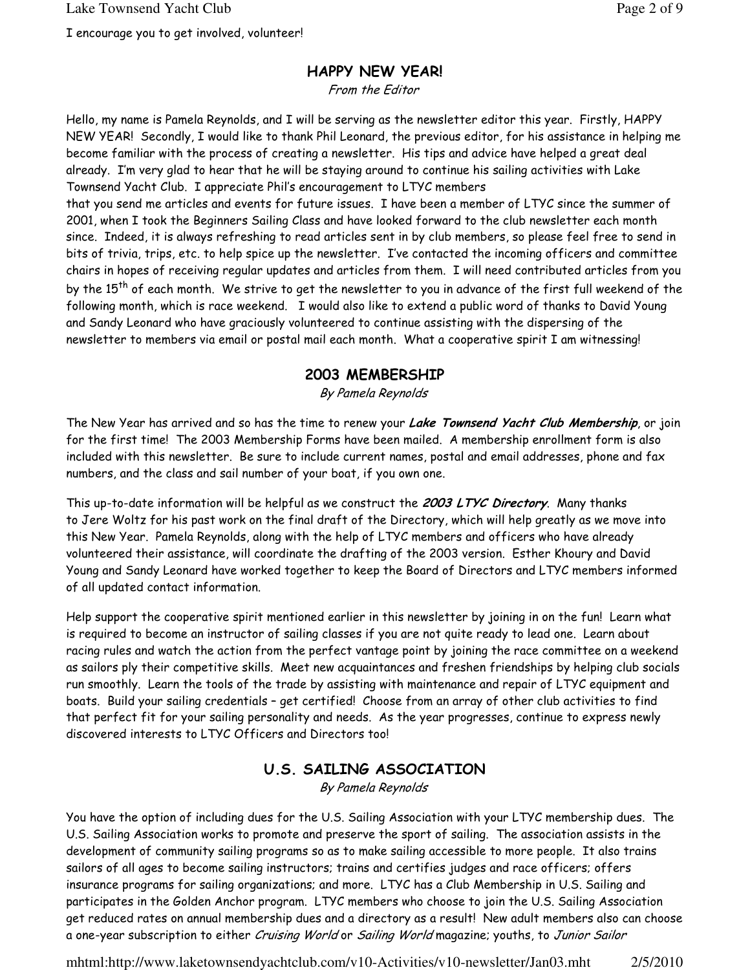#### HAPPY NEW YEAR!

From the Editor

Hello, my name is Pamela Reynolds, and I will be serving as the newsletter editor this year. Firstly, HAPPY NEW YEAR! Secondly, I would like to thank Phil Leonard, the previous editor, for his assistance in helping me become familiar with the process of creating a newsletter. His tips and advice have helped a great deal already. I'm very glad to hear that he will be staying around to continue his sailing activities with Lake Townsend Yacht Club. I appreciate Phil's encouragement to LTYC members

that you send me articles and events for future issues. I have been a member of LTYC since the summer of 2001, when I took the Beginners Sailing Class and have looked forward to the club newsletter each month since. Indeed, it is always refreshing to read articles sent in by club members, so please feel free to send in bits of trivia, trips, etc. to help spice up the newsletter. I've contacted the incoming officers and committee chairs in hopes of receiving regular updates and articles from them. I will need contributed articles from you by the 15<sup>th</sup> of each month. We strive to get the newsletter to you in advance of the first full weekend of the following month, which is race weekend. I would also like to extend a public word of thanks to David Young and Sandy Leonard who have graciously volunteered to continue assisting with the dispersing of the newsletter to members via email or postal mail each month. What a cooperative spirit I am witnessing!

#### 2003 MEMBERSHIP

By Pamela Reynolds

The New Year has arrived and so has the time to renew your Lake Townsend Yacht Club Membership, or join for the first time! The 2003 Membership Forms have been mailed. A membership enrollment form is also included with this newsletter. Be sure to include current names, postal and email addresses, phone and fax numbers, and the class and sail number of your boat, if you own one.

This up-to-date information will be helpful as we construct the 2003 LTYC Directory. Many thanks to Jere Woltz for his past work on the final draft of the Directory, which will help greatly as we move into this New Year. Pamela Reynolds, along with the help of LTYC members and officers who have already volunteered their assistance, will coordinate the drafting of the 2003 version. Esther Khoury and David Young and Sandy Leonard have worked together to keep the Board of Directors and LTYC members informed of all updated contact information.

Help support the cooperative spirit mentioned earlier in this newsletter by joining in on the fun! Learn what is required to become an instructor of sailing classes if you are not quite ready to lead one. Learn about racing rules and watch the action from the perfect vantage point by joining the race committee on a weekend as sailors ply their competitive skills. Meet new acquaintances and freshen friendships by helping club socials run smoothly. Learn the tools of the trade by assisting with maintenance and repair of LTYC equipment and boats. Build your sailing credentials – get certified! Choose from an array of other club activities to find that perfect fit for your sailing personality and needs. As the year progresses, continue to express newly discovered interests to LTYC Officers and Directors too!

#### U.S. SAILING ASSOCIATION

By Pamela Reynolds

You have the option of including dues for the U.S. Sailing Association with your LTYC membership dues. The U.S. Sailing Association works to promote and preserve the sport of sailing. The association assists in the development of community sailing programs so as to make sailing accessible to more people. It also trains sailors of all ages to become sailing instructors; trains and certifies judges and race officers; offers insurance programs for sailing organizations; and more. LTYC has a Club Membership in U.S. Sailing and participates in the Golden Anchor program. LTYC members who choose to join the U.S. Sailing Association get reduced rates on annual membership dues and a directory as a result! New adult members also can choose a one-year subscription to either Cruising World or Sailing World magazine; youths, to Junior Sailor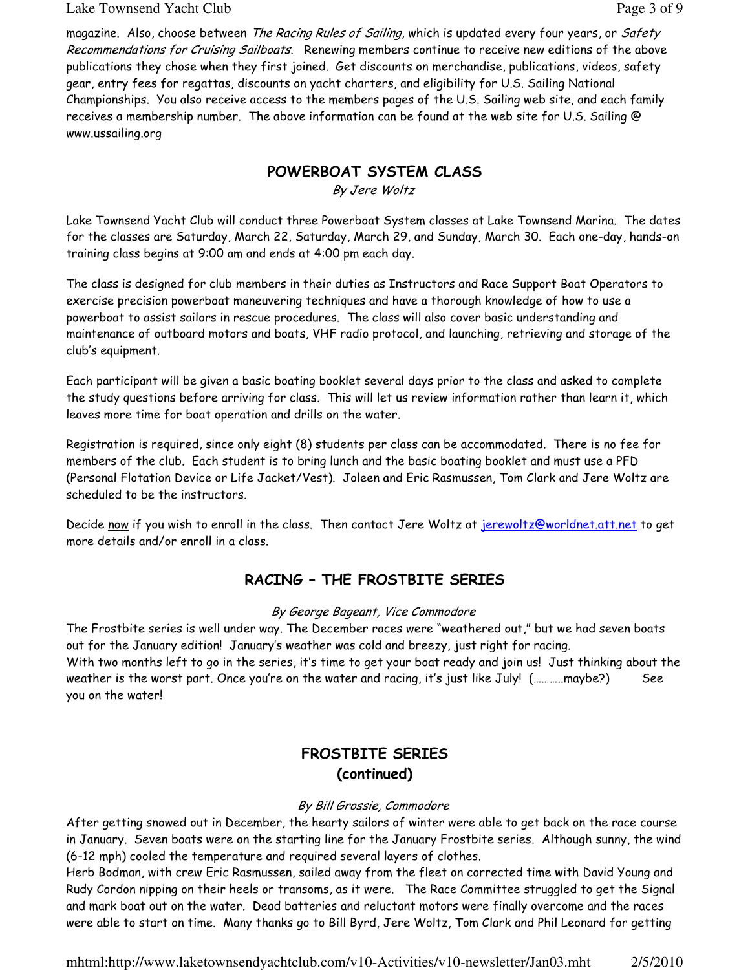#### Lake Townsend Yacht Club **Page 3 of 9** and  $P$  and  $P$  and  $P$  and  $P$  and  $P$  and  $P$  and  $P$  and  $P$  and  $P$  and  $P$  and  $P$  and  $P$  and  $P$  and  $P$  and  $P$  and  $P$  and  $P$  and  $P$  and  $P$  and  $P$  and  $P$  and  $P$  and  $P$

magazine. Also, choose between The Racing Rules of Sailing, which is updated every four years, or Safety Recommendations for Cruising Sailboats. Renewing members continue to receive new editions of the above publications they chose when they first joined. Get discounts on merchandise, publications, videos, safety gear, entry fees for regattas, discounts on yacht charters, and eligibility for U.S. Sailing National Championships. You also receive access to the members pages of the U.S. Sailing web site, and each family receives a membership number. The above information can be found at the web site for U.S. Sailing @ www.ussailing.org

#### POWERBOAT SYSTEM CLASS

By Jere Woltz

Lake Townsend Yacht Club will conduct three Powerboat System classes at Lake Townsend Marina. The dates for the classes are Saturday, March 22, Saturday, March 29, and Sunday, March 30. Each one-day, hands-on training class begins at 9:00 am and ends at 4:00 pm each day.

The class is designed for club members in their duties as Instructors and Race Support Boat Operators to exercise precision powerboat maneuvering techniques and have a thorough knowledge of how to use a powerboat to assist sailors in rescue procedures. The class will also cover basic understanding and maintenance of outboard motors and boats, VHF radio protocol, and launching, retrieving and storage of the club's equipment.

Each participant will be given a basic boating booklet several days prior to the class and asked to complete the study questions before arriving for class. This will let us review information rather than learn it, which leaves more time for boat operation and drills on the water.

Registration is required, since only eight (8) students per class can be accommodated. There is no fee for members of the club. Each student is to bring lunch and the basic boating booklet and must use a PFD (Personal Flotation Device or Life Jacket/Vest). Joleen and Eric Rasmussen, Tom Clark and Jere Woltz are scheduled to be the instructors.

Decide now if you wish to enroll in the class. Then contact Jere Woltz at jerewoltz@worldnet.att.net to get more details and/or enroll in a class.

## RACING – THE FROSTBITE SERIES

#### By George Bageant, Vice Commodore

The Frostbite series is well under way. The December races were "weathered out," but we had seven boats out for the January edition! January's weather was cold and breezy, just right for racing. With two months left to go in the series, it's time to get your boat ready and join us! Just thinking about the weather is the worst part. Once you're on the water and racing, it's just like July! (………..maybe?) See you on the water!

# FROSTBITE SERIES (continued)

#### By Bill Grossie, Commodore

After getting snowed out in December, the hearty sailors of winter were able to get back on the race course in January. Seven boats were on the starting line for the January Frostbite series. Although sunny, the wind (6-12 mph) cooled the temperature and required several layers of clothes.

Herb Bodman, with crew Eric Rasmussen, sailed away from the fleet on corrected time with David Young and Rudy Cordon nipping on their heels or transoms, as it were. The Race Committee struggled to get the Signal and mark boat out on the water. Dead batteries and reluctant motors were finally overcome and the races were able to start on time. Many thanks go to Bill Byrd, Jere Woltz, Tom Clark and Phil Leonard for getting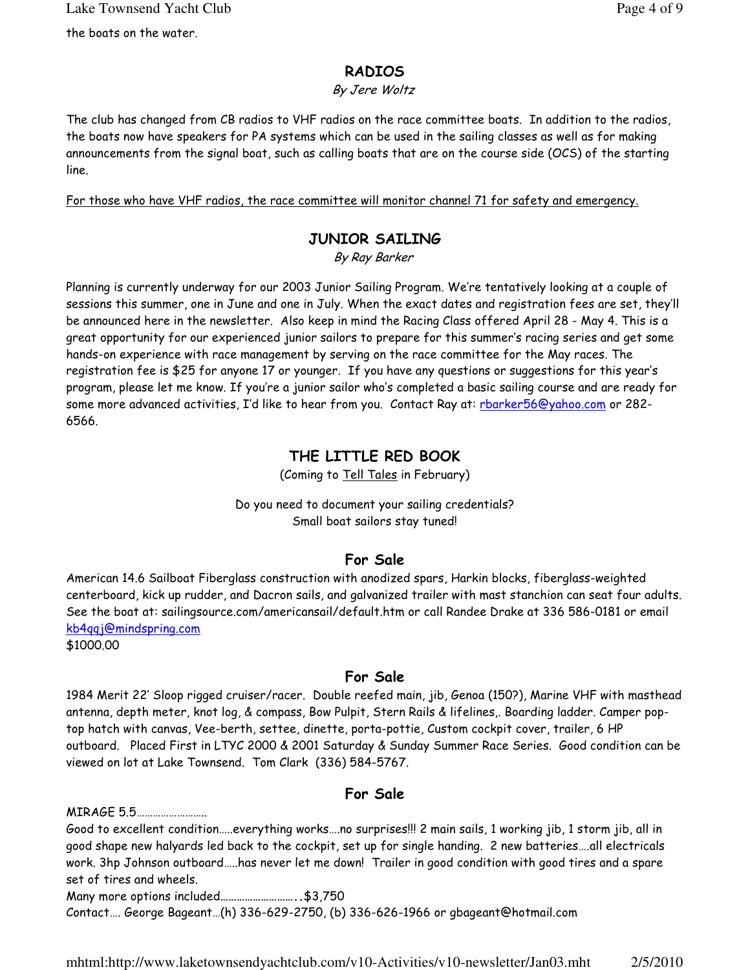## RADIOS

#### By Jere Woltz

The club has changed from CB radios to VHF radios on the race committee boats. In addition to the radios, the boats now have speakers for PA systems which can be used in the sailing classes as well as for making announcements from the signal boat, such as calling boats that are on the course side (OCS) of the starting line.

For those who have VHF radios, the race committee will monitor channel 71 for safety and emergency.

## JUNIOR SAILING

By Ray Barker

Planning is currently underway for our 2003 Junior Sailing Program. We're tentatively looking at a couple of sessions this summer, one in June and one in July. When the exact dates and registration fees are set, they'll be announced here in the newsletter. Also keep in mind the Racing Class offered April 28 - May 4. This is a great opportunity for our experienced junior sailors to prepare for this summer's racing series and get some hands-on experience with race management by serving on the race committee for the May races. The registration fee is \$25 for anyone 17 or younger. If you have any questions or suggestions for this year's program, please let me know. If you're a junior sailor who's completed a basic sailing course and are ready for some more advanced activities, I'd like to hear from you. Contact Ray at: rbarker56@yahoo.com or 282-6566.

# THE LITTLE RED BOOK

(Coming to Tell Tales in February)

#### Do you need to document your sailing credentials? Small boat sailors stay tuned!

## For Sale

American 14.6 Sailboat Fiberglass construction with anodized spars, Harkin blocks, fiberglass-weighted centerboard, kick up rudder, and Dacron sails, and galvanized trailer with mast stanchion can seat four adults. See the boat at: sailingsource.com/americansail/default.htm or call Randee Drake at 336 586-0181 or email kb4qqj@mindspring.com

\$1000.00

## For Sale

1984 Merit 22' Sloop rigged cruiser/racer. Double reefed main, jib, Genoa (150?), Marine VHF with masthead antenna, depth meter, knot log, & compass, Bow Pulpit, Stern Rails & lifelines,. Boarding ladder. Camper poptop hatch with canvas, Vee-berth, settee, dinette, porta-pottie, Custom cockpit cover, trailer, 6 HP outboard. Placed First in LTYC 2000 & 2001 Saturday & Sunday Summer Race Series. Good condition can be viewed on lot at Lake Townsend. Tom Clark (336) 584-5767.

## For Sale

MIRAGE 5.5……………………..

Good to excellent condition…..everything works….no surprises!!! 2 main sails, 1 working jib, 1 storm jib, all in good shape new halyards led back to the cockpit, set up for single handing. 2 new batteries….all electricals work. 3hp Johnson outboard…..has never let me down! Trailer in good condition with good tires and a spare set of tires and wheels.

Many more options included………………………..\$3,750

Contact…. George Bageant…(h) 336-629-2750, (b) 336-626-1966 or gbageant@hotmail.com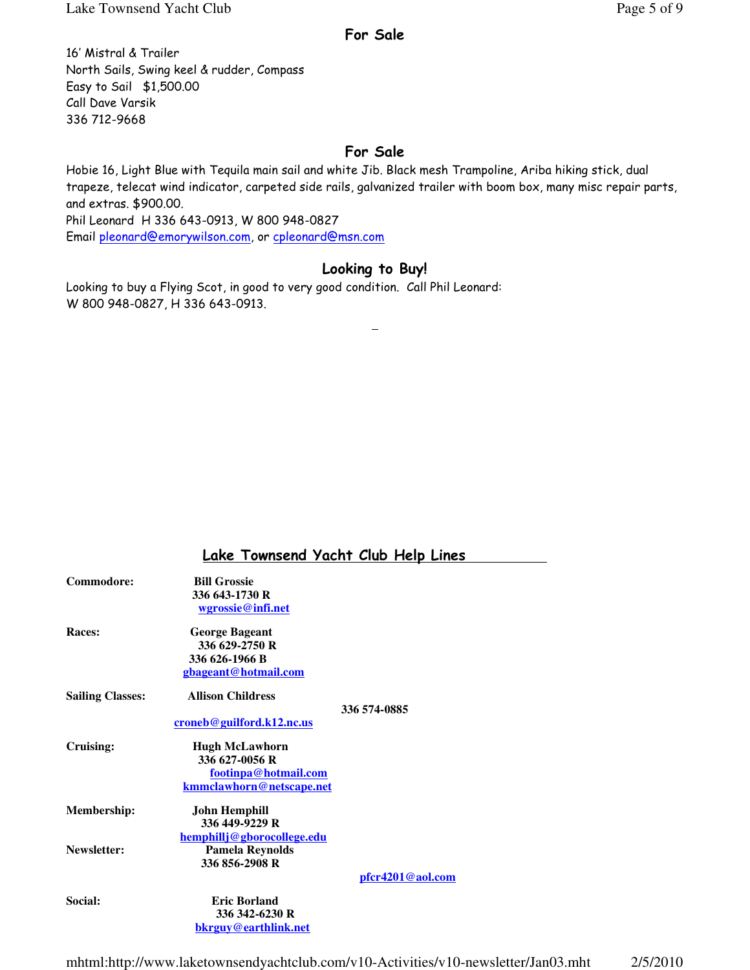#### For Sale

16' Mistral & Trailer North Sails, Swing keel & rudder, Compass Easy to Sail \$1,500.00 Call Dave Varsik 336 712-9668

#### For Sale

Hobie 16, Light Blue with Tequila main sail and white Jib. Black mesh Trampoline, Ariba hiking stick, dual trapeze, telecat wind indicator, carpeted side rails, galvanized trailer with boom box, many misc repair parts, and extras. \$900.00. Phil Leonard H 336 643-0913, W 800 948-0827

Email pleonard@emorywilson.com, or cpleonard@msn.com

#### Looking to Buy!

Looking to buy a Flying Scot, in good to very good condition. Call Phil Leonard: W 800 948-0827, H 336 643-0913.

## Lake Townsend Yacht Club Help Lines

| Commodore:              | <b>Bill Grossie</b>              |                  |
|-------------------------|----------------------------------|------------------|
|                         | 336 643-1730 R                   |                  |
|                         | wgrossie@infi.net                |                  |
| Races:                  | <b>George Bageant</b>            |                  |
|                         | 336 629-2750 R                   |                  |
|                         | 336 626-1966 B                   |                  |
|                         | gbageant@hotmail.com             |                  |
| <b>Sailing Classes:</b> | <b>Allison Childress</b>         |                  |
|                         | <u>croneb@guilford.k12.nc.us</u> | 336 574-0885     |
| Cruising:               | <b>Hugh McLawhorn</b>            |                  |
|                         | 336 627-0056 R                   |                  |
|                         | footinpa@hotmail.com             |                  |
|                         | kmmclawhorn@netscape.net         |                  |
| <b>Membership:</b>      | <b>John Hemphill</b>             |                  |
|                         | 336 449-9229 R                   |                  |
|                         | hemphillj@gborocollege.edu       |                  |
| Newsletter:             | <b>Pamela Reynolds</b>           |                  |
|                         | 336 856-2908 R                   |                  |
|                         |                                  | pfcr4201@aol.com |
| Social:                 | <b>Eric Borland</b>              |                  |
|                         | 336 342-6230 R                   |                  |
|                         | <u>bkrguy@earthlink.net</u>      |                  |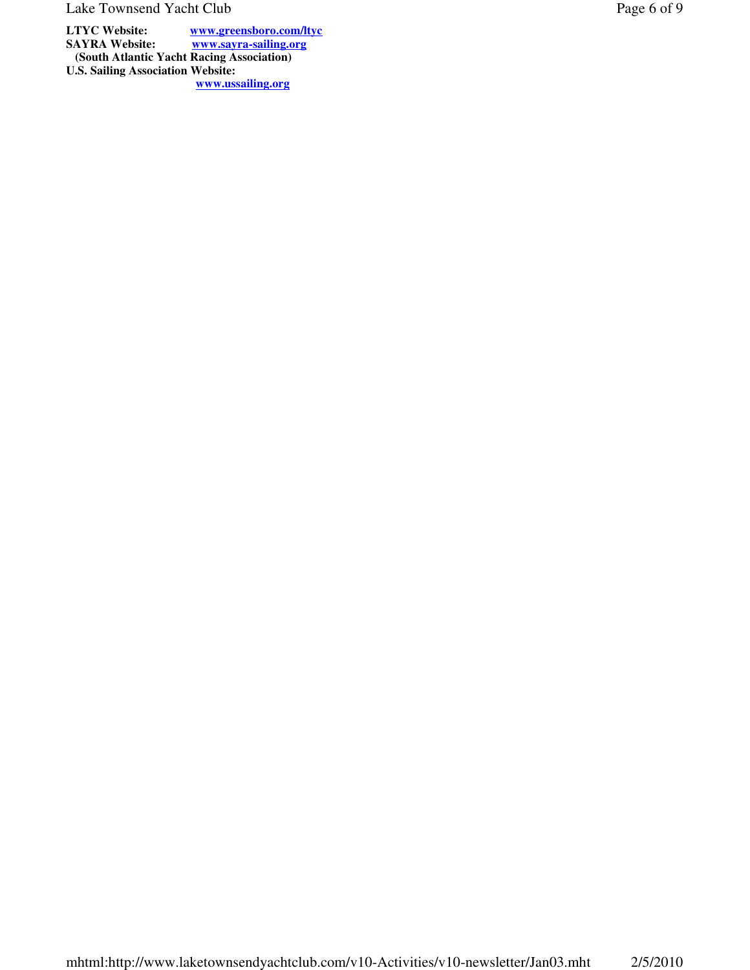Lake Townsend Yacht Club Page 6 of 9

**LTYC Website:** www.greensboro.com/ltyc<br>
SAYRA Website: www.sayra-sailing.org **SAYRA Website: www.sayra-sailing.org (South Atlantic Yacht Racing Association) U.S. Sailing Association Website: www.ussailing.org**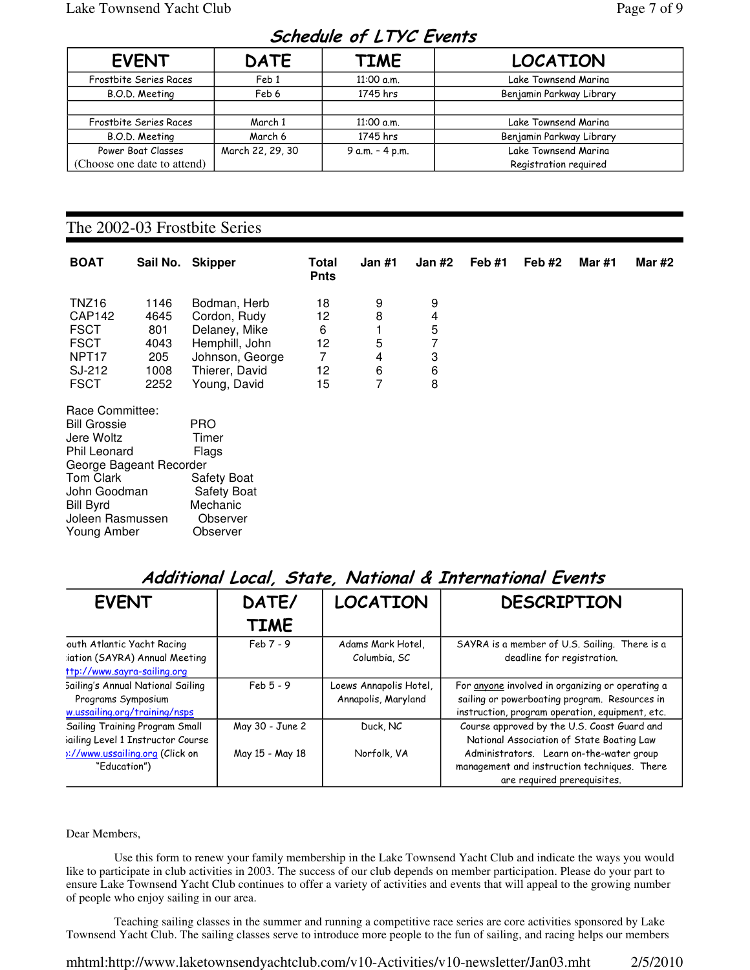# Schedule of LTYC Events

| <b>EVENT</b>                | <b>DATE</b>      | <b>TIME</b>     | <b>LOCATION</b>          |  |  |  |  |  |  |
|-----------------------------|------------------|-----------------|--------------------------|--|--|--|--|--|--|
| Frostbite Series Races      | Feb <sub>1</sub> | 11:00 a.m.      | Lake Townsend Marina     |  |  |  |  |  |  |
| B.O.D. Meeting              | Feb 6            | 1745 hrs        | Benjamin Parkway Library |  |  |  |  |  |  |
|                             |                  |                 |                          |  |  |  |  |  |  |
| Frostbite Series Races      | March 1          | 11:00 a.m.      | Lake Townsend Marina     |  |  |  |  |  |  |
| B.O.D. Meeting              | March 6          | 1745 hrs        | Benjamin Parkway Library |  |  |  |  |  |  |
| Power Boat Classes          | March 22, 29, 30 | 9 a.m. - 4 p.m. | Lake Townsend Marina     |  |  |  |  |  |  |
| (Choose one date to attend) |                  |                 | Registration reguired    |  |  |  |  |  |  |

#### The 2002-03 Frostbite Series

| <b>BOAT</b>                                                                                                                                                                         | Sail No.                                           | <b>Skipper</b>                                                                                                       | Total<br><b>Pnts</b>                 | Jan #1                         | Jan #2                                       | Feb #1 | Feb $#2$ | <b>Mar #1</b> | <b>Mar #2</b> |
|-------------------------------------------------------------------------------------------------------------------------------------------------------------------------------------|----------------------------------------------------|----------------------------------------------------------------------------------------------------------------------|--------------------------------------|--------------------------------|----------------------------------------------|--------|----------|---------------|---------------|
| TNZ <sub>16</sub><br>CAP142<br><b>FSCT</b><br><b>FSCT</b><br>NPT <sub>17</sub><br>SJ-212<br><b>FSCT</b>                                                                             | 1146<br>4645<br>801<br>4043<br>205<br>1008<br>2252 | Bodman, Herb<br>Cordon, Rudy<br>Delaney, Mike<br>Hemphill, John<br>Johnson, George<br>Thierer, David<br>Young, David | 18<br>12<br>6<br>12<br>7<br>12<br>15 | 9<br>8<br>5<br>4<br>$\,6$<br>7 | 9<br>4<br>5<br>$\overline{7}$<br>3<br>6<br>8 |        |          |               |               |
| Race Committee:<br><b>Bill Grossie</b><br>Jere Woltz<br>Phil Leonard<br>George Bageant Recorder<br>Tom Clark<br>John Goodman<br><b>Bill Byrd</b><br>Joleen Rasmussen<br>Young Amber |                                                    | <b>PRO</b><br>Timer<br>Flags<br><b>Safety Boat</b><br><b>Safety Boat</b><br>Mechanic<br>Observer<br>Observer         |                                      |                                |                                              |        |          |               |               |

# Additional Local, State, National & International Events

| <b>EVENT</b>                                                                                | DATE/           | <b>LOCATION</b>                               | <b>DESCRIPTION</b>                                                                                                                                   |
|---------------------------------------------------------------------------------------------|-----------------|-----------------------------------------------|------------------------------------------------------------------------------------------------------------------------------------------------------|
|                                                                                             | <b>TIME</b>     |                                               |                                                                                                                                                      |
| outh Atlantic Yacht Racing<br>:iation (SAYRA) Annual Meeting<br>ttp://www.sayra-sailing.org | $Feb 7 - 9$     | Adams Mark Hotel,<br>Columbia, SC             | SAYRA is a member of U.S. Sailing. There is a<br>deadline for registration.                                                                          |
| Sailing's Annual National Sailing<br>Programs Symposium<br>w.ussailing.org/training/nsps    | $Feb 5 - 9$     | Loews Annapolis Hotel,<br>Annapolis, Maryland | For anyone involved in organizing or operating a<br>sailing or powerboating program. Resources in<br>instruction, program operation, equipment, etc. |
| Sailing Training Program Small<br>sailing Level 1 Instructor Course                         | May 30 - June 2 | Duck, NC                                      | Course approved by the U.S. Coast Guard and<br>National Association of State Boating Law                                                             |
| 1://www.ussailing.org (Click on<br>"Education")                                             | May 15 - May 18 | Norfolk, VA                                   | Administrators. Learn on-the-water group<br>management and instruction techniques. There<br>are required prerequisites.                              |

#### Dear Members,

 Use this form to renew your family membership in the Lake Townsend Yacht Club and indicate the ways you would like to participate in club activities in 2003. The success of our club depends on member participation. Please do your part to ensure Lake Townsend Yacht Club continues to offer a variety of activities and events that will appeal to the growing number of people who enjoy sailing in our area.

 Teaching sailing classes in the summer and running a competitive race series are core activities sponsored by Lake Townsend Yacht Club. The sailing classes serve to introduce more people to the fun of sailing, and racing helps our members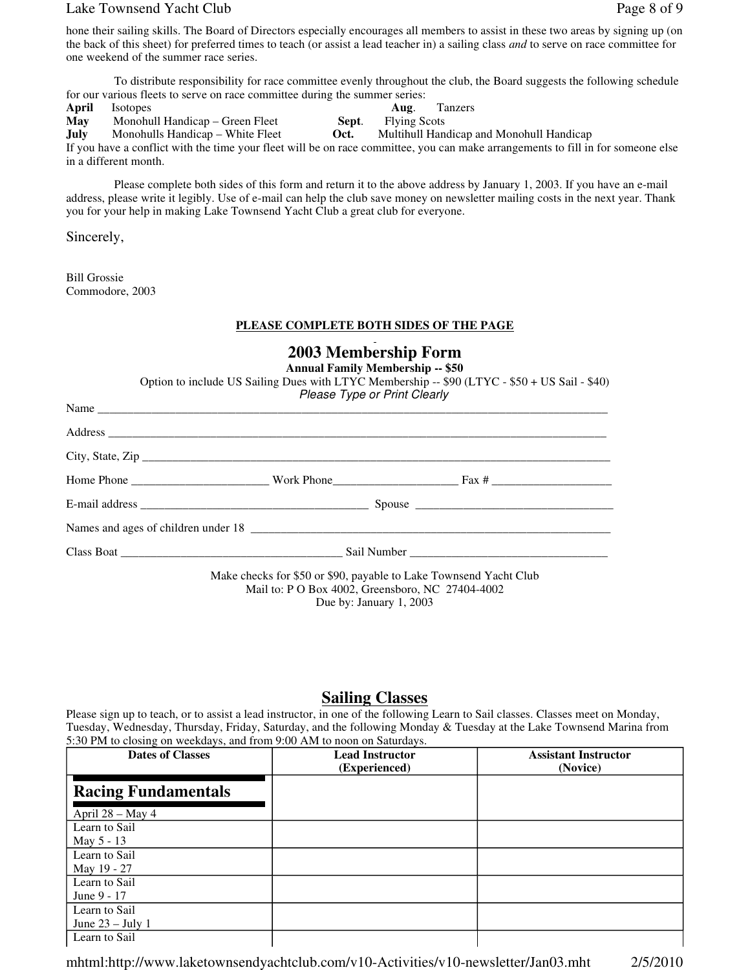#### Lake Townsend Yacht Club **Page 8** of 9

hone their sailing skills. The Board of Directors especially encourages all members to assist in these two areas by signing up (on the back of this sheet) for preferred times to teach (or assist a lead teacher in) a sailing class *and* to serve on race committee for one weekend of the summer race series.

 To distribute responsibility for race committee evenly throughout the club, the Board suggests the following schedule for our various fleets to serve on race committee during the summer series:

**April** Isotopes **Aug**. Tanzers **May** Monohull Handicap – Green Fleet **Sept**. Flying Scots **July** Monohulls Handicap – White Fleet **Oct.** Multihull Handicap and Monohull Handicap If you have a conflict with the time your fleet will be on race committee, you can make arrangements to fill in for someone else in a different month.

 Please complete both sides of this form and return it to the above address by January 1, 2003. If you have an e-mail address, please write it legibly. Use of e-mail can help the club save money on newsletter mailing costs in the next year. Thank you for your help in making Lake Townsend Yacht Club a great club for everyone.

Sincerely,

Bill Grossie Commodore, 2003

#### **PLEASE COMPLETE BOTH SIDES OF THE PAGE**

| 2003 Membership Form<br><b>Annual Family Membership -- \$50</b><br>Option to include US Sailing Dues with LTYC Membership -- \$90 (LTYC - \$50 + US Sail - \$40)<br>Please Type or Print Clearly |                                                                                                                                                  |                       |  |  |  |  |
|--------------------------------------------------------------------------------------------------------------------------------------------------------------------------------------------------|--------------------------------------------------------------------------------------------------------------------------------------------------|-----------------------|--|--|--|--|
|                                                                                                                                                                                                  |                                                                                                                                                  |                       |  |  |  |  |
|                                                                                                                                                                                                  |                                                                                                                                                  |                       |  |  |  |  |
|                                                                                                                                                                                                  |                                                                                                                                                  | $City, State, Zip \_$ |  |  |  |  |
|                                                                                                                                                                                                  |                                                                                                                                                  |                       |  |  |  |  |
|                                                                                                                                                                                                  |                                                                                                                                                  |                       |  |  |  |  |
|                                                                                                                                                                                                  |                                                                                                                                                  |                       |  |  |  |  |
|                                                                                                                                                                                                  |                                                                                                                                                  |                       |  |  |  |  |
|                                                                                                                                                                                                  | Make checks for \$50 or \$90, payable to Lake Townsend Yacht Club<br>Mail to: P O Box 4002, Greensboro, NC 27404-4002<br>Due by: January 1, 2003 |                       |  |  |  |  |

#### **Sailing Classes**

Please sign up to teach, or to assist a lead instructor, in one of the following Learn to Sail classes. Classes meet on Monday, Tuesday, Wednesday, Thursday, Friday, Saturday, and the following Monday & Tuesday at the Lake Townsend Marina from 5:30 PM to closing on weekdays, and from 9:00 AM to noon on Saturdays.

| <b>Dates of Classes</b>                        | <b>Lead Instructor</b><br>(Experienced) | <b>Assistant Instructor</b><br>(Novice) |
|------------------------------------------------|-----------------------------------------|-----------------------------------------|
| <b>Racing Fundamentals</b><br>April 28 - May 4 |                                         |                                         |
| Learn to Sail<br>May 5 - 13                    |                                         |                                         |
| Learn to Sail<br>May 19 - 27                   |                                         |                                         |
| Learn to Sail<br>June 9 - 17                   |                                         |                                         |
| Learn to Sail<br>June $23 -$ July 1            |                                         |                                         |
| Learn to Sail                                  |                                         |                                         |